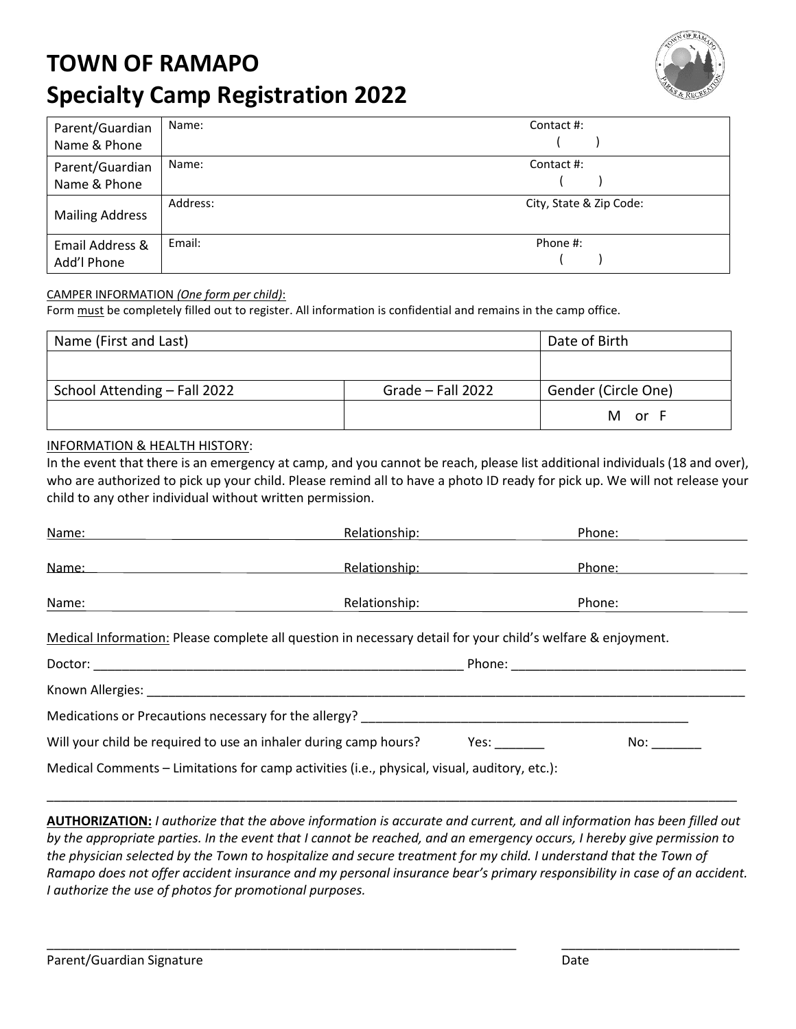## **TOWN OF RAMAPO**





| Parent/Guardian<br>Name & Phone | Name:    | Contact #:              |
|---------------------------------|----------|-------------------------|
| Parent/Guardian<br>Name & Phone | Name:    | Contact #:              |
| <b>Mailing Address</b>          | Address: | City, State & Zip Code: |
| Email Address &<br>Add'l Phone  | Email:   | Phone #:                |

## CAMPER INFORMATION *(One form per child)*:

Form must be completely filled out to register. All information is confidential and remains in the camp office.

| Name (First and Last)        | Date of Birth       |                     |
|------------------------------|---------------------|---------------------|
|                              |                     |                     |
| School Attending - Fall 2022 | Grade $-$ Fall 2022 | Gender (Circle One) |
|                              |                     | M or F              |

## INFORMATION & HEALTH HISTORY:

In the event that there is an emergency at camp, and you cannot be reach, please list additional individuals (18 and over), who are authorized to pick up your child. Please remind all to have a photo ID ready for pick up. We will not release your child to any other individual without written permission.

| Name:                                                                                                       | Relationship:               |      | Phone: |  |
|-------------------------------------------------------------------------------------------------------------|-----------------------------|------|--------|--|
| Name:                                                                                                       | Relationship: Nelationship: |      | Phone: |  |
| Name:                                                                                                       | Relationship:               |      | Phone: |  |
| Medical Information: Please complete all question in necessary detail for your child's welfare & enjoyment. |                             |      |        |  |
|                                                                                                             |                             |      |        |  |
|                                                                                                             |                             |      |        |  |
| Medications or Precautions necessary for the allergy? ___________________________                           |                             |      |        |  |
| Will your child be required to use an inhaler during camp hours?                                            |                             | Yes: | No:    |  |
| Medical Comments - Limitations for camp activities (i.e., physical, visual, auditory, etc.):                |                             |      |        |  |

**AUTHORIZATION:** *I authorize that the above information is accurate and current, and all information has been filled out by the appropriate parties. In the event that I cannot be reached, and an emergency occurs, I hereby give permission to the physician selected by the Town to hospitalize and secure treatment for my child. I understand that the Town of Ramapo does not offer accident insurance and my personal insurance bear's primary responsibility in case of an accident. I authorize the use of photos for promotional purposes.*

\_\_\_\_\_\_\_\_\_\_\_\_\_\_\_\_\_\_\_\_\_\_\_\_\_\_\_\_\_\_\_\_\_\_\_\_\_\_\_\_\_\_\_\_\_\_\_\_\_\_\_\_\_\_\_\_\_\_\_\_\_\_\_\_\_\_ \_\_\_\_\_\_\_\_\_\_\_\_\_\_\_\_\_\_\_\_\_\_\_\_\_

\_\_\_\_\_\_\_\_\_\_\_\_\_\_\_\_\_\_\_\_\_\_\_\_\_\_\_\_\_\_\_\_\_\_\_\_\_\_\_\_\_\_\_\_\_\_\_\_\_\_\_\_\_\_\_\_\_\_\_\_\_\_\_\_\_\_\_\_\_\_\_\_\_\_\_\_\_\_\_\_\_\_\_\_\_\_\_\_\_\_\_\_\_\_\_\_\_